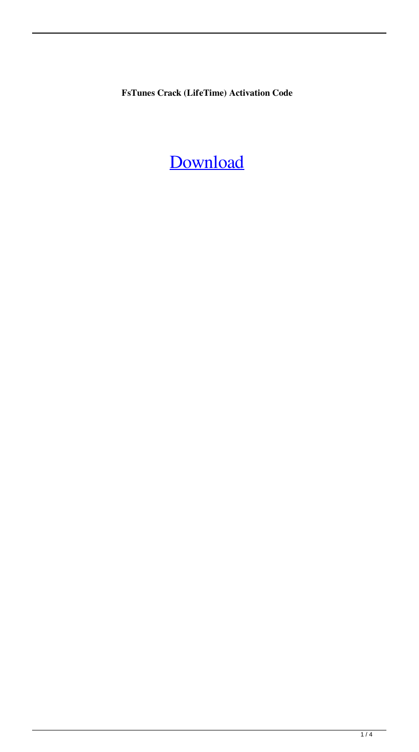**FsTunes Crack (LifeTime) Activation Code**

# [Download](http://evacdir.com/ZnNUdW5lcwZnN/chenpi/ddic/outcry/restless/ZG93bmxvYWR8OUdWTVdkc2ZId3hOalUyTURJeE1qQTJmSHd5TlRjMGZId29UU2tnY21WaFpDMWliRzluSUZ0R1lYTjBJRWRGVGww&hoafat.maryland)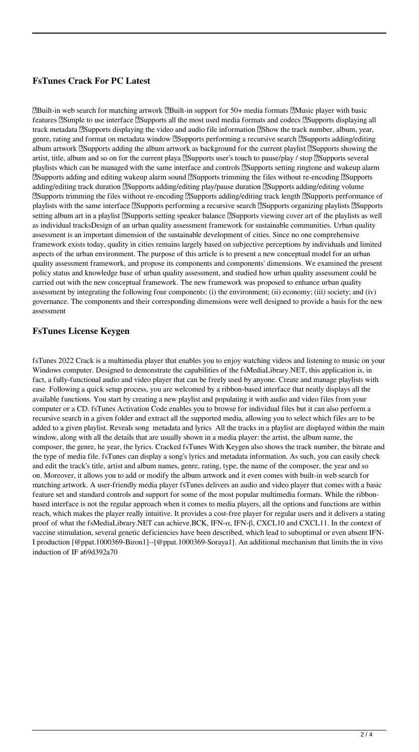### **FsTunes Crack For PC Latest**

・Built-in web search for matching artwork ・Built-in support for 50+ media formats ・Music player with basic features **Simple to use interface Supports all the most used media formats and codecs** Supports displaying all track metadata **Supports displaying the video and audio file information Show the track number, album, year,** genre, rating and format on metadata window **ISupports performing a recursive search ISupports adding/editing** album artwork **Supports adding the album artwork as background for the current playlist Supports showing the** artist, title, album and so on for the current playa **Supports** user's touch to pause/play / stop **Supports** several playlists which can be managed with the same interface and controls **Supports** setting ringtone and wakeup alarm **ISupports adding and editing wakeup alarm sound ISupports trimming the files without re-encoding ISupports** adding/editing track duration **ISupports adding/editing play/pause duration ISupports adding/editing volume ISupports trimming the files without re-encoding ISupports adding/editing track length ISupports performance of** playlists with the same interface **Supports performing a recursive search** Supports organizing playlists **Supports** setting album art in a playlist  $\mathbb{S}$ Supports setting speaker balance  $\mathbb{S}$ Supports viewing cover art of the playlists as well as individual tracksDesign of an urban quality assessment framework for sustainable communities. Urban quality assessment is an important dimension of the sustainable development of cities. Since no one comprehensive framework exists today, quality in cities remains largely based on subjective perceptions by individuals and limited aspects of the urban environment. The purpose of this article is to present a new conceptual model for an urban quality assessment framework, and propose its components and components' dimensions. We examined the present policy status and knowledge base of urban quality assessment, and studied how urban quality assessment could be carried out with the new conceptual framework. The new framework was proposed to enhance urban quality assessment by integrating the following four components: (i) the environment; (ii) economy; (iii) society; and (iv) governance. The components and their corresponding dimensions were well designed to provide a basis for the new assessment

#### **FsTunes License Keygen**

fsTunes 2022 Crack is a multimedia player that enables you to enjoy watching videos and listening to music on your Windows computer. Designed to demonstrate the capabilities of the fsMediaLibrary.NET, this application is, in fact, a fully-functional audio and video player that can be freely used by anyone. Create and manage playlists with ease Following a quick setup process, you are welcomed by a ribbon-based interface that neatly displays all the available functions. You start by creating a new playlist and populating it with audio and video files from your computer or a CD. fsTunes Activation Code enables you to browse for individual files but it can also perform a recursive search in a given folder and extract all the supported media, allowing you to select which files are to be added to a given playlist. Reveals song metadata and lyrics All the tracks in a playlist are displayed within the main window, along with all the details that are usually shown in a media player: the artist, the album name, the composer, the genre, he year, the lyrics. Cracked fsTunes With Keygen also shows the track number, the bitrate and the type of media file. fsTunes can display a song's lyrics and metadata information. As such, you can easily check and edit the track's title, artist and album names, genre, rating, type, the name of the composer, the year and so on. Moreover, it allows you to add or modify the album artwork and it even comes with built-in web search for matching artwork. A user-friendly media player fsTunes delivers an audio and video player that comes with a basic feature set and standard controls and support for some of the most popular multimedia formats. While the ribbonbased interface is not the regular approach when it comes to media players, all the options and functions are within reach, which makes the player really intuitive. It provides a cost-free player for regular users and it delivers a stating proof of what the fsMediaLibrary.NET can achieve.BCK, IFN-α, IFN-β, CXCL10 and CXCL11. In the context of vaccine stimulation, several genetic deficiencies have been described, which lead to suboptimal or even absent IFN-I production [@ppat.1000369-Biron1]--[@ppat.1000369-Soraya1]. An additional mechanism that limits the in vivo induction of IF a69d392a70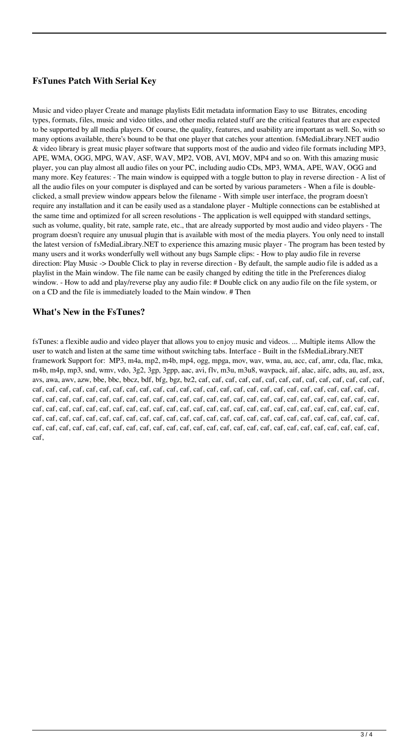## **FsTunes Patch With Serial Key**

Music and video player Create and manage playlists Edit metadata information Easy to use Bitrates, encoding types, formats, files, music and video titles, and other media related stuff are the critical features that are expected to be supported by all media players. Of course, the quality, features, and usability are important as well. So, with so many options available, there's bound to be that one player that catches your attention. fsMediaLibrary.NET audio & video library is great music player software that supports most of the audio and video file formats including MP3, APE, WMA, OGG, MPG, WAV, ASF, WAV, MP2, VOB, AVI, MOV, MP4 and so on. With this amazing music player, you can play almost all audio files on your PC, including audio CDs, MP3, WMA, APE, WAV, OGG and many more. Key features: - The main window is equipped with a toggle button to play in reverse direction - A list of all the audio files on your computer is displayed and can be sorted by various parameters - When a file is doubleclicked, a small preview window appears below the filename - With simple user interface, the program doesn't require any installation and it can be easily used as a standalone player - Multiple connections can be established at the same time and optimized for all screen resolutions - The application is well equipped with standard settings, such as volume, quality, bit rate, sample rate, etc., that are already supported by most audio and video players - The program doesn't require any unusual plugin that is available with most of the media players. You only need to install the latest version of fsMediaLibrary.NET to experience this amazing music player - The program has been tested by many users and it works wonderfully well without any bugs Sample clips: - How to play audio file in reverse direction: Play Music -> Double Click to play in reverse direction - By default, the sample audio file is added as a playlist in the Main window. The file name can be easily changed by editing the title in the Preferences dialog window. - How to add and play/reverse play any audio file: # Double click on any audio file on the file system, or on a CD and the file is immediately loaded to the Main window. # Then

#### **What's New in the FsTunes?**

fsTunes: a flexible audio and video player that allows you to enjoy music and videos. ... Multiple items Allow the user to watch and listen at the same time without switching tabs. Interface - Built in the fsMediaLibrary.NET framework Support for: MP3, m4a, mp2, m4b, mp4, ogg, mpga, mov, wav, wma, au, acc, caf, amr, cda, flac, mka, m4b, m4p, mp3, snd, wmv, vdo, 3g2, 3gp, 3gpp, aac, avi, flv, m3u, m3u8, wavpack, aif, alac, aifc, adts, au, asf, asx, avs, awa, awv, azw, bbe, bbc, bbcz, bdf, bfg, bgz, bz2, caf, caf, caf, caf, caf, caf, caf, caf, caf, caf, caf, caf, caf, caf, caf, caf, caf, caf, caf, caf, caf, caf, caf, caf, caf, caf, caf, caf, caf, caf, caf, caf, caf, caf, caf, caf, caf, caf, caf, caf, caf, caf, caf, caf, caf, caf, caf, caf, caf, caf, caf, caf, caf, caf, caf, caf, caf, caf, caf, caf, caf, caf, caf, caf, caf, caf, caf, caf, caf, caf, caf, caf, caf, caf, caf, caf, caf, caf, caf, caf, caf, caf, caf, caf, caf, caf, caf, caf, caf, caf, caf, caf, caf, caf, caf, caf, caf, caf, caf, caf, caf, caf, caf, caf, caf, caf, caf, caf, caf, caf, caf, caf, caf, caf, caf, caf, caf, caf, caf, caf, caf, caf, caf, caf, caf, caf, caf, caf, caf, caf, caf, caf, caf, caf, caf, caf, caf, caf, caf, caf, caf, caf, caf, caf, caf,